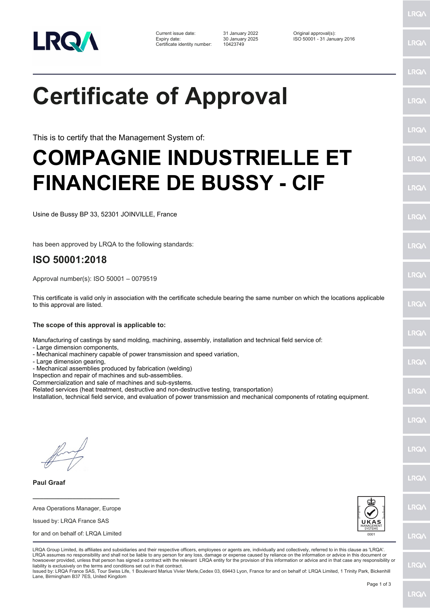

Certificate identity number: 10423749

Current issue date: 31 January 2022 Original approval(s): Expiry date: 30 January 2025 ISO 50001 - 31 January 2016

**Certificate of Approval**

This is to certify that the Management System of:

## **COMPAGNIE INDUSTRIELLE ET FINANCIERE DE BUSSY - CIF**

Usine de Bussy BP 33, 52301 JOINVILLE, France

has been approved by LRQA to the following standards:

## **ISO 50001:2018**

Approval number(s): ISO 50001 – 0079519

This certificate is valid only in association with the certificate schedule bearing the same number on which the locations applicable to this approval are listed.

**The scope of this approval is applicable to:**

Manufacturing of castings by sand molding, machining, assembly, installation and technical field service of:

- Large dimension components,
- Mechanical machinery capable of power transmission and speed variation,
- Large dimension gearing,

- Mechanical assemblies produced by fabrication (welding)

Inspection and repair of machines and sub-assemblies.

Commercialization and sale of machines and sub-systems.

Related services (heat treatment, destructive and non-destructive testing, transportation)

Installation, technical field service, and evaluation of power transmission and mechanical components of rotating equipment.

**Paul Graaf**

Area Operations Manager, Europe Issued by: LRQA France SAS

**\_\_\_\_\_\_\_\_\_\_\_\_\_\_\_\_\_\_\_\_\_\_\_\_**

for and on behalf of: LRQA Limited



LRQA Group Limited, its affiliates and subsidiaries and their respective officers, employees or agents are, individually and collectively, referred to in this clause as 'LRQA'. LRQA assumes no responsibility and shall not be liable to any person for any loss, damage or expense caused by reliance on the information or advice in this document or howsoever provided, unless that person has signed a contract with the relevant LRQA entity for the provision of this information or advice and in that case any responsibility or liability is exclusively on the terms and conditions set out in that contract.

Issued by: LRQA France SAS, Tour Swiss Life, 1 Boulevard Marius Vivier Merle,Cedex 03, 69443 Lyon, France for and on behalf of: LRQA Limited, 1 Trinity Park, Bickenhill Lane, Birmingham B37 7ES, United Kingdom

LRQ/

LRQ/

LRQ/

LRQ/

LRQ/

LRQ/

LRQ/

LRQ/

LRQ/

**IRQ** 

LRQ/

LRQ/

LRQ/

LRQ/

**IRQ** 

**LRO/** 

LRQ/

LRQ/

**LRQ/** 

LRQ/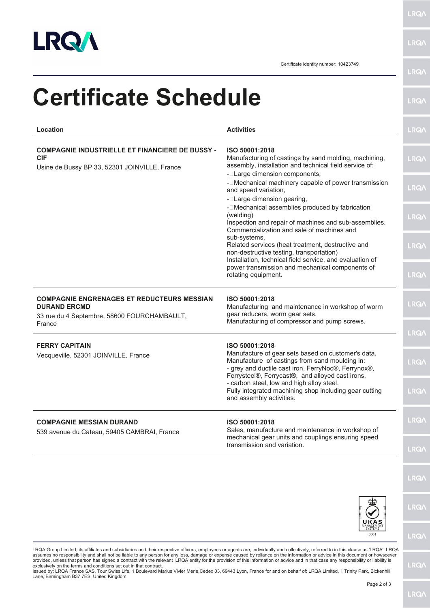

**LRQA** 

**LRQA** 

Certificate identity number: 10423749

| <b>Certificate Schedule</b>                                                                                             |                                                                                                                                                                                                                                   | <b>LRQ/</b> |
|-------------------------------------------------------------------------------------------------------------------------|-----------------------------------------------------------------------------------------------------------------------------------------------------------------------------------------------------------------------------------|-------------|
| Location                                                                                                                | <b>Activities</b>                                                                                                                                                                                                                 | <b>LRQ/</b> |
| <b>COMPAGNIE INDUSTRIELLE ET FINANCIERE DE BUSSY -</b><br><b>CIF</b><br>Usine de Bussy BP 33, 52301 JOINVILLE, France   | ISO 50001:2018<br>Manufacturing of castings by sand molding, machining,<br>assembly, installation and technical field service of:                                                                                                 | <b>LRQA</b> |
|                                                                                                                         | - <sup>-</sup> Large dimension components,<br>- <sup>[</sup> Mechanical machinery capable of power transmission<br>and speed variation,<br>- <sup>[</sup> Large dimension gearing,                                                | <b>LRQ/</b> |
|                                                                                                                         | - <sup>[</sup> Mechanical assemblies produced by fabrication<br>(welding)<br>Inspection and repair of machines and sub-assemblies.<br>Commercialization and sale of machines and                                                  | <b>LRQA</b> |
|                                                                                                                         | sub-systems.<br>Related services (heat treatment, destructive and<br>non-destructive testing, transportation)<br>Installation, technical field service, and evaluation of                                                         | <b>LRQA</b> |
|                                                                                                                         | power transmission and mechanical components of<br>rotating equipment.                                                                                                                                                            | <b>LRQA</b> |
| <b>COMPAGNIE ENGRENAGES ET REDUCTEURS MESSIAN</b><br><b>DURAND ERCMD</b><br>33 rue du 4 Septembre, 58600 FOURCHAMBAULT, | ISO 50001:2018<br>Manufacturing and maintenance in workshop of worm<br>gear reducers, worm gear sets.                                                                                                                             | <b>LRQ/</b> |
| France                                                                                                                  | Manufacturing of compressor and pump screws.                                                                                                                                                                                      | <b>LRQA</b> |
| <b>FERRY CAPITAIN</b><br>Vecqueville, 52301 JOINVILLE, France                                                           | ISO 50001:2018<br>Manufacture of gear sets based on customer's data.<br>Manufacture of castings from sand moulding in:<br>- grey and ductile cast iron, FerryNod®, Ferrynox®,<br>Ferrysteel®, Ferrycast®, and alloyed cast irons, | <b>LRQ/</b> |
|                                                                                                                         | - carbon steel, low and high alloy steel.<br>Fully integrated machining shop including gear cutting<br>and assembly activities.                                                                                                   | <b>LRQA</b> |
| <b>COMPAGNIE MESSIAN DURAND</b><br>539 avenue du Cateau, 59405 CAMBRAI, France                                          | ISO 50001:2018<br>Sales, manufacture and maintenance in workshop of                                                                                                                                                               | <b>LRQ/</b> |
|                                                                                                                         | mechanical gear units and couplings ensuring speed<br>transmission and variation.                                                                                                                                                 | <b>LRQA</b> |
|                                                                                                                         |                                                                                                                                                                                                                                   | <b>LRQA</b> |
|                                                                                                                         |                                                                                                                                                                                                                                   | <b>LRQ/</b> |
|                                                                                                                         | 0001                                                                                                                                                                                                                              | <b>LRQA</b> |

assumes no responsibility and shall not be liable to any person for any loss, damage or expense caused by reliance on the information or advice in this document or howsoever<br>provided, unless that person has signed a contra

LRQ/\